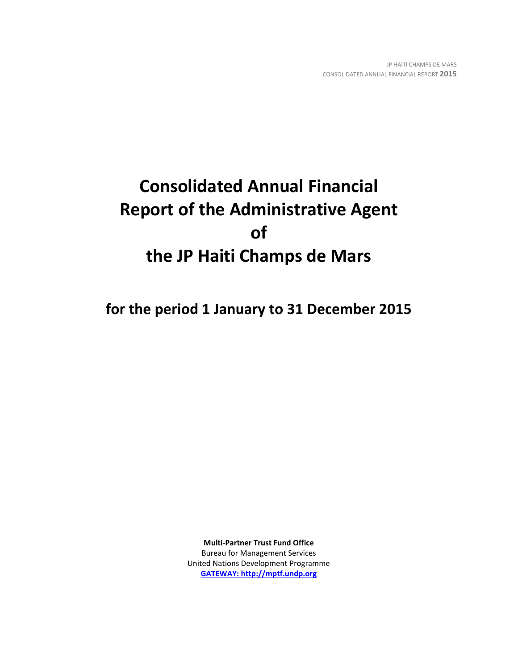# **Consolidated Annual Financial Report of the Administrative Agent of the JP Haiti Champs de Mars**

**for the period 1 January to 31 December 2015**

**Multi-Partner Trust Fund Office** Bureau for Management Services United Nations Development Programme **[GATEWAY: http://mptf.undp.org](http://mptf.undp.org/)**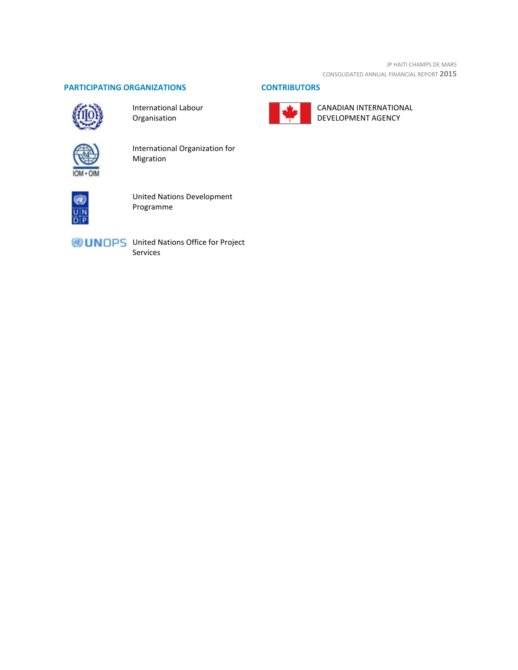JP HAITI CHAMPS DE MARS CONSOLIDATED ANNUAL FINANCIAL REPORT **2015**

### **PARTICIPATING ORGANIZATIONS CONTRIBUTORS**



International Labour Organisation



International Organization for Migration



United Nations Development Programme

UNOPS United Nations Office for Project Services



CANADIAN INTERNATIONAL DEVELOPMENT AGENCY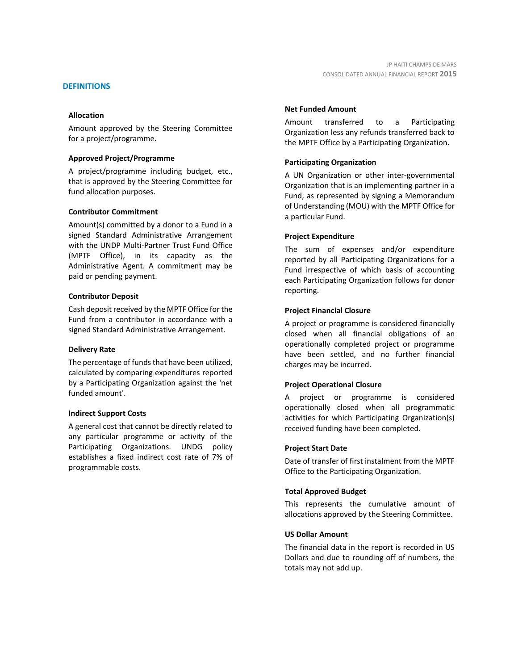### **DEFINITIONS**

### **Allocation**

Amount approved by the Steering Committee for a project/programme.

### **Approved Project/Programme**

A project/programme including budget, etc., that is approved by the Steering Committee for fund allocation purposes.

### **Contributor Commitment**

Amount(s) committed by a donor to a Fund in a signed Standard Administrative Arrangement with the UNDP Multi-Partner Trust Fund Office (MPTF Office), in its capacity as the Administrative Agent. A commitment may be paid or pending payment.

### **Contributor Deposit**

Cash deposit received by the MPTF Office for the Fund from a contributor in accordance with a signed Standard Administrative Arrangement.

### **Delivery Rate**

The percentage of funds that have been utilized, calculated by comparing expenditures reported by a Participating Organization against the 'net funded amount'.

### **Indirect Support Costs**

A general cost that cannot be directly related to any particular programme or activity of the Participating Organizations. UNDG policy establishes a fixed indirect cost rate of 7% of programmable costs.

### **Net Funded Amount**

Amount transferred to a Participating Organization less any refunds transferred back to the MPTF Office by a Participating Organization.

### **Participating Organization**

A UN Organization or other inter-governmental Organization that is an implementing partner in a Fund, as represented by signing a Memorandum of Understanding (MOU) with the MPTF Office for a particular Fund.

### **Project Expenditure**

The sum of expenses and/or expenditure reported by all Participating Organizations for a Fund irrespective of which basis of accounting each Participating Organization follows for donor reporting.

### **Project Financial Closure**

A project or programme is considered financially closed when all financial obligations of an operationally completed project or programme have been settled, and no further financial charges may be incurred.

### **Project Operational Closure**

A project or programme is considered operationally closed when all programmatic activities for which Participating Organization(s) received funding have been completed.

### **Project Start Date**

Date of transfer of first instalment from the MPTF Office to the Participating Organization.

### **Total Approved Budget**

This represents the cumulative amount of allocations approved by the Steering Committee.

### **US Dollar Amount**

The financial data in the report is recorded in US Dollars and due to rounding off of numbers, the totals may not add up.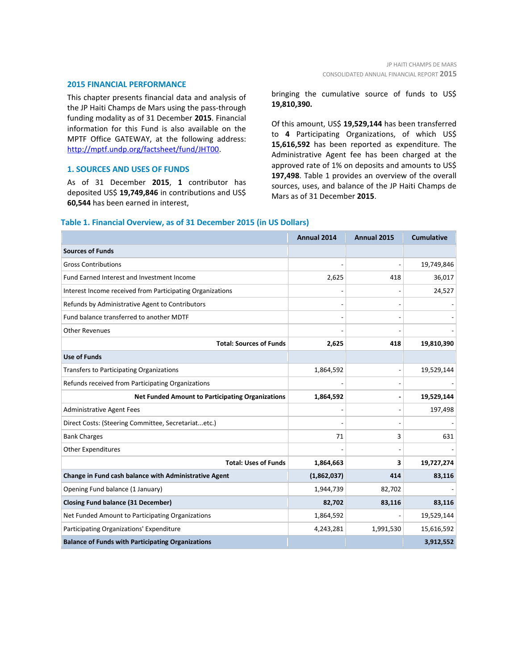### **2015 FINANCIAL PERFORMANCE**

This chapter presents financial data and analysis of the JP Haiti Champs de Mars using the pass-through funding modality as of 31 December **2015**. Financial information for this Fund is also available on the MPTF Office GATEWAY, at the following address: [http://mptf.undp.org/factsheet/fund/JHT00.](http://mptf.undp.org/factsheet/fund/JHT00)

### **1. SOURCES AND USES OF FUNDS**

As of 31 December **2015**, **1** contributor has deposited US\$ **19,749,846** in contributions and US\$ **60,544** has been earned in interest,

### bringing the cumulative source of funds to US\$ **19,810,390.**

Of this amount, US\$ **19,529,144** has been transferred to **4** Participating Organizations, of which US\$ **15,616,592** has been reported as expenditure. The Administrative Agent fee has been charged at the approved rate of 1% on deposits and amounts to US\$ **197,498**. Table 1 provides an overview of the overall sources, uses, and balance of the JP Haiti Champs de Mars as of 31 December **2015**.

## **Annual 2014 Annual 2015 Cumulative Sources of Funds** Gross Contributions and the contributions of the contributions of the contributions of the contributions of the contributions of the contributions of the contributions of the contributions of the contributions of the contr Fund Earned Interest and Investment Income 2,625 418 418 36,017 Interest Income received from Participating Organizations **1998** and 24,527 and 24,527 Refunds by Administrative Agent to Contributors and the contributors of the contributors of the contributors of the contributors of the contributors of the contributors of the contributors of the contributors of the contri Fund balance transferred to another MDTF Other Revenues - - - **Total: Sources of Funds 2,625 418 19,810,390 Use of Funds** Transfers to Participating Organizations 1,864,592 - 1,864,592 - 1,864,592 - 1,9529,144 Refunds received from Participating Organizations **Net Funded Amount to Participating Organizations 1,864,592 - 19,529,144** Administrative Agent Fees - - 197,498 Direct Costs: (Steering Committee, Secretariat...etc.) Bank Charges  $3$  631  $3$ Other Expenditures **Total: Uses of Funds 1,864,663 3 19,727,274 Change in Fund cash balance with Administrative Agent (1,862,037) 414 83,116** Opening Fund balance (1 January) 1,944,739 82,702 **Closing Fund balance (31 December) 82,702 83,116 83,116** Net Funded Amount to Participating Organizations 1,864,592 - 1,864,592 Participating Organizations' Expenditure 1,200 1,200 1,991,530 1,991,530 1,5616,592 **Balance of Funds with Participating Organizations 3,912,552**

### **Table 1. Financial Overview, as of 31 December 2015 (in US Dollars)**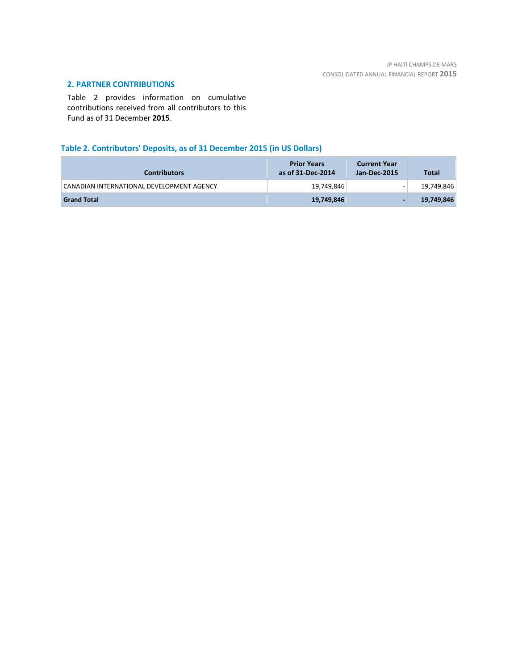### **2. PARTNER CONTRIBUTIONS**

Table 2 provides information on cumulative contributions received from all contributors to this Fund as of 31 December **2015**.

### **Table 2. Contributors' Deposits, as of 31 December 2015 (in US Dollars)**

| <b>Contributors</b>                       | <b>Prior Years</b><br>as of 31-Dec-2014 | <b>Current Year</b><br>Jan-Dec-2015 | <b>Total</b> |
|-------------------------------------------|-----------------------------------------|-------------------------------------|--------------|
| CANADIAN INTERNATIONAL DEVELOPMENT AGENCY | 19,749,846                              | $\overline{\phantom{a}}$            | 19,749,846   |
| <b>Grand Total</b>                        | 19,749,846                              |                                     | 19,749,846   |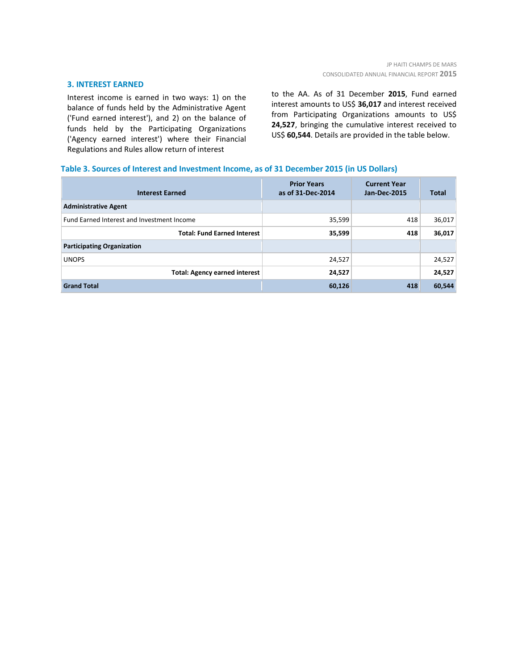### **3. INTEREST EARNED**

Interest income is earned in two ways: 1) on the balance of funds held by the Administrative Agent ('Fund earned interest'), and 2) on the balance of funds held by the Participating Organizations ('Agency earned interest') where their Financial Regulations and Rules allow return of interest

to the AA. As of 31 December **2015**, Fund earned interest amounts to US\$ **36,017** and interest received from Participating Organizations amounts to US\$ **24,527**, bringing the cumulative interest received to US\$ **60,544**. Details are provided in the table below.

### **Table 3. Sources of Interest and Investment Income, as of 31 December 2015 (in US Dollars)**

| <b>Interest Earned</b>                            | <b>Prior Years</b><br>as of 31-Dec-2014 | <b>Current Year</b><br><b>Jan-Dec-2015</b> | <b>Total</b> |
|---------------------------------------------------|-----------------------------------------|--------------------------------------------|--------------|
| <b>Administrative Agent</b>                       |                                         |                                            |              |
| <b>Fund Earned Interest and Investment Income</b> | 35,599                                  | 418                                        | 36,017       |
| <b>Total: Fund Earned Interest</b>                | 35,599                                  | 418                                        | 36,017       |
| <b>Participating Organization</b>                 |                                         |                                            |              |
| <b>UNOPS</b>                                      | 24,527                                  |                                            | 24,527       |
| <b>Total: Agency earned interest</b>              | 24,527                                  |                                            | 24,527       |
| <b>Grand Total</b>                                | 60,126                                  | 418                                        | 60,544       |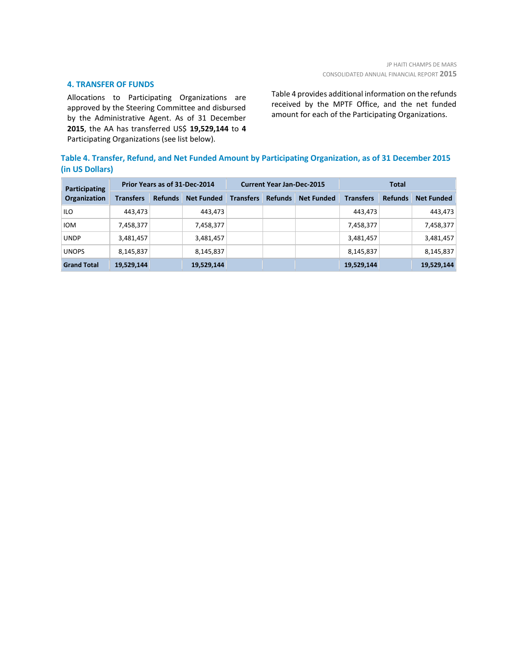### **4. TRANSFER OF FUNDS**

Allocations to Participating Organizations are approved by the Steering Committee and disbursed by the Administrative Agent. As of 31 December **2015**, the AA has transferred US\$ **19,529,144** to **4** Participating Organizations (see list below).

Table 4 provides additional information on the refunds received by the MPTF Office, and the net funded amount for each of the Participating Organizations.

### **Table 4. Transfer, Refund, and Net Funded Amount by Participating Organization, as of 31 December 2015 (in US Dollars)**

| Participating<br><b>Organization</b> | Prior Years as of 31-Dec-2014 |                |                   | <b>Current Year Jan-Dec-2015</b> |                |                   | <b>Total</b>     |                |                   |
|--------------------------------------|-------------------------------|----------------|-------------------|----------------------------------|----------------|-------------------|------------------|----------------|-------------------|
|                                      | <b>Transfers</b>              | <b>Refunds</b> | <b>Net Funded</b> | <b>Transfers</b>                 | <b>Refunds</b> | <b>Net Funded</b> | <b>Transfers</b> | <b>Refunds</b> | <b>Net Funded</b> |
| <b>ILO</b>                           | 443,473                       |                | 443,473           |                                  |                |                   | 443,473          |                | 443,473           |
| <b>IOM</b>                           | 7,458,377                     |                | 7,458,377         |                                  |                |                   | 7,458,377        |                | 7,458,377         |
| <b>UNDP</b>                          | 3,481,457                     |                | 3,481,457         |                                  |                |                   | 3,481,457        |                | 3,481,457         |
| <b>UNOPS</b>                         | 8,145,837                     |                | 8,145,837         |                                  |                |                   | 8,145,837        |                | 8,145,837         |
| <b>Grand Total</b>                   | 19,529,144                    |                | 19,529,144        |                                  |                |                   | 19,529,144       |                | 19,529,144        |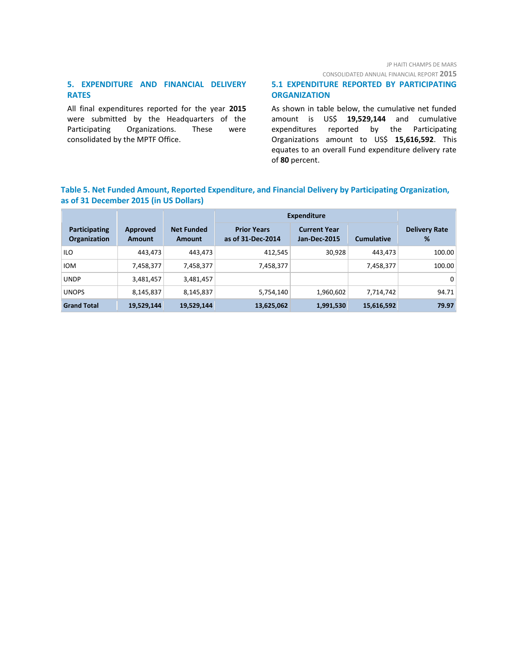### JP HAITI CHAMPS DE MARS

CONSOLIDATED ANNUAL FINANCIAL REPORT **2015**

### **5. EXPENDITURE AND FINANCIAL DELIVERY RATES**

All final expenditures reported for the year **2015** were submitted by the Headquarters of the Participating Organizations. These were consolidated by the MPTF Office.

### **5.1 EXPENDITURE REPORTED BY PARTICIPATING ORGANIZATION**

As shown in table below, the cumulative net funded amount is US\$ **19,529,144** and cumulative expenditures reported by the Participating Organizations amount to US\$ **15,616,592**. This equates to an overall Fund expenditure delivery rate of **80** percent.

### **Table 5. Net Funded Amount, Reported Expenditure, and Financial Delivery by Participating Organization, as of 31 December 2015 (in US Dollars)**

|                               |                           |                                    | <b>Expenditure</b>                      |                                            |                   |                           |
|-------------------------------|---------------------------|------------------------------------|-----------------------------------------|--------------------------------------------|-------------------|---------------------------|
| Participating<br>Organization | Approved<br><b>Amount</b> | <b>Net Funded</b><br><b>Amount</b> | <b>Prior Years</b><br>as of 31-Dec-2014 | <b>Current Year</b><br><b>Jan-Dec-2015</b> | <b>Cumulative</b> | <b>Delivery Rate</b><br>% |
| <b>ILO</b>                    | 443,473                   | 443,473                            | 412,545                                 | 30,928                                     | 443.473           | 100.00                    |
| <b>IOM</b>                    | 7,458,377                 | 7,458,377                          | 7,458,377                               |                                            | 7,458,377         | 100.00                    |
| <b>UNDP</b>                   | 3,481,457                 | 3,481,457                          |                                         |                                            |                   | 0                         |
| <b>UNOPS</b>                  | 8,145,837                 | 8,145,837                          | 5,754,140                               | 1,960,602                                  | 7,714,742         | 94.71                     |
| <b>Grand Total</b>            | 19,529,144                | 19,529,144                         | 13,625,062                              | 1,991,530                                  | 15,616,592        | 79.97                     |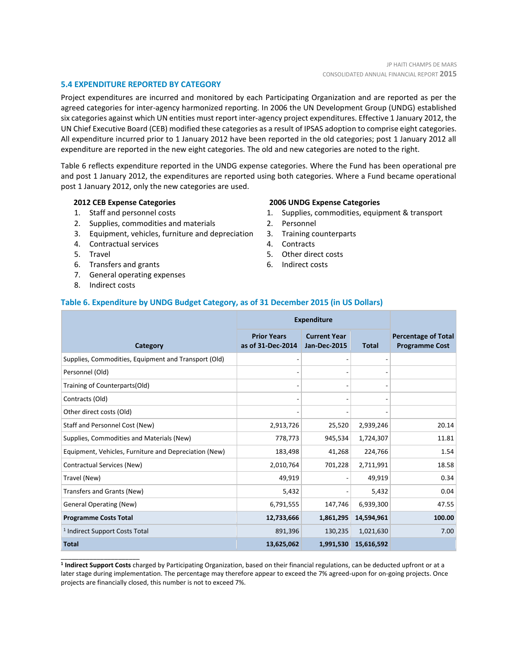### **5.4 EXPENDITURE REPORTED BY CATEGORY**

Project expenditures are incurred and monitored by each Participating Organization and are reported as per the agreed categories for inter-agency harmonized reporting. In 2006 the UN Development Group (UNDG) established six categories against which UN entities must report inter-agency project expenditures. Effective 1 January 2012, the UN Chief Executive Board (CEB) modified these categories as a result of IPSAS adoption to comprise eight categories. All expenditure incurred prior to 1 January 2012 have been reported in the old categories; post 1 January 2012 all expenditure are reported in the new eight categories. The old and new categories are noted to the right.

Table 6 reflects expenditure reported in the UNDG expense categories. Where the Fund has been operational pre and post 1 January 2012, the expenditures are reported using both categories. Where a Fund became operational post 1 January 2012, only the new categories are used.

### **2012 CEB Expense Categories**

- 1. Staff and personnel costs
- 2. Supplies, commodities and materials
- 3. Equipment, vehicles, furniture and depreciation
- 4. Contractual services
- 5. Travel
- 6. Transfers and grants
- 7. General operating expenses
- 8. Indirect costs

\_\_\_\_\_\_\_\_\_\_\_\_\_\_\_\_\_\_\_\_\_\_

### **2006 UNDG Expense Categories**

- 1. Supplies, commodities, equipment & transport
- 2. Personnel
- 3. Training counterparts
- 4. Contracts
- 5. Other direct costs
- 6. Indirect costs

### **Table 6. Expenditure by UNDG Budget Category, as of 31 December 2015 (in US Dollars)**

|                                                       | <b>Expenditure</b>                      |                                            |              |                                                     |
|-------------------------------------------------------|-----------------------------------------|--------------------------------------------|--------------|-----------------------------------------------------|
| Category                                              | <b>Prior Years</b><br>as of 31-Dec-2014 | <b>Current Year</b><br><b>Jan-Dec-2015</b> | <b>Total</b> | <b>Percentage of Total</b><br><b>Programme Cost</b> |
| Supplies, Commodities, Equipment and Transport (Old)  |                                         |                                            |              |                                                     |
| Personnel (Old)                                       |                                         |                                            |              |                                                     |
| Training of Counterparts(Old)                         |                                         |                                            |              |                                                     |
| Contracts (Old)                                       |                                         |                                            |              |                                                     |
| Other direct costs (Old)                              |                                         |                                            |              |                                                     |
| Staff and Personnel Cost (New)                        | 2,913,726                               | 25,520                                     | 2,939,246    | 20.14                                               |
| Supplies, Commodities and Materials (New)             | 778,773                                 | 945,534                                    | 1,724,307    | 11.81                                               |
| Equipment, Vehicles, Furniture and Depreciation (New) | 183,498                                 | 41,268                                     | 224,766      | 1.54                                                |
| Contractual Services (New)                            | 2,010,764                               | 701,228                                    | 2,711,991    | 18.58                                               |
| Travel (New)                                          | 49,919                                  |                                            | 49,919       | 0.34                                                |
| Transfers and Grants (New)                            | 5,432                                   |                                            | 5,432        | 0.04                                                |
| <b>General Operating (New)</b>                        | 6,791,555                               | 147,746                                    | 6,939,300    | 47.55                                               |
| <b>Programme Costs Total</b>                          | 12,733,666                              | 1,861,295                                  | 14,594,961   | 100.00                                              |
| <sup>1</sup> Indirect Support Costs Total             | 891,396                                 | 130,235                                    | 1,021,630    | 7.00                                                |
| <b>Total</b>                                          | 13,625,062                              | 1,991,530                                  | 15,616,592   |                                                     |

**1 Indirect Support Costs** charged by Participating Organization, based on their financial regulations, can be deducted upfront or at a later stage during implementation. The percentage may therefore appear to exceed the 7% agreed-upon for on-going projects. Once projects are financially closed, this number is not to exceed 7%.